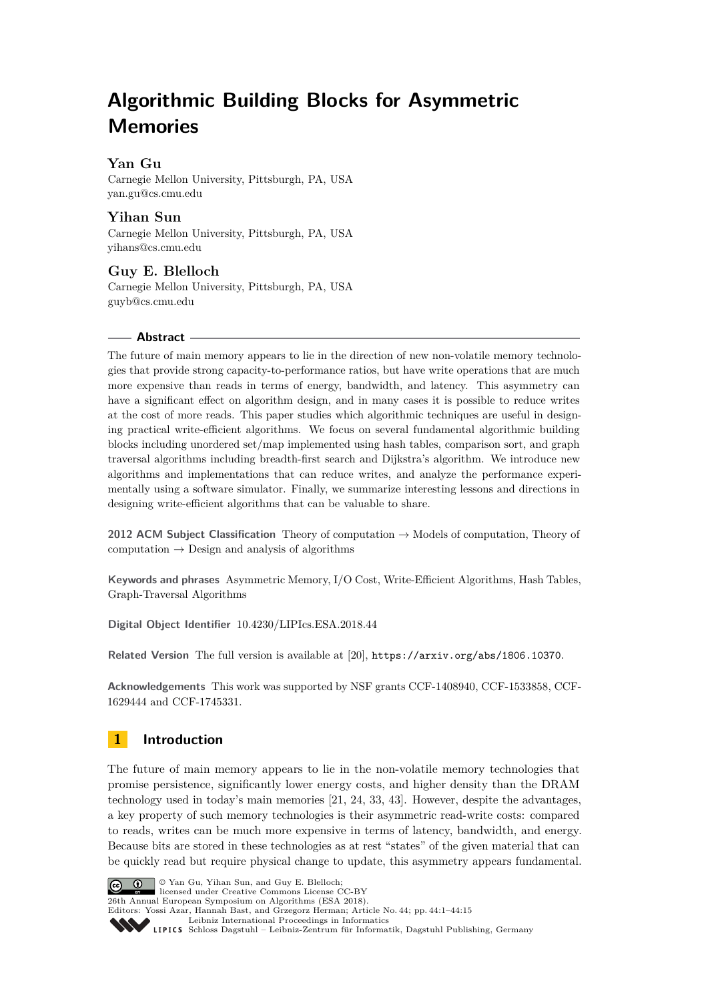# **Algorithmic Building Blocks for Asymmetric Memories**

# **Yan Gu**

Carnegie Mellon University, Pittsburgh, PA, USA [yan.gu@cs.cmu.edu](mailto:yan.gu@cs.cmu.edu)

**Yihan Sun** Carnegie Mellon University, Pittsburgh, PA, USA [yihans@cs.cmu.edu](mailto:yihans@cs.cmu.edu)

**Guy E. Blelloch** Carnegie Mellon University, Pittsburgh, PA, USA [guyb@cs.cmu.edu](mailto:guyb@cs.cmu.edu)

## **Abstract**

The future of main memory appears to lie in the direction of new non-volatile memory technologies that provide strong capacity-to-performance ratios, but have write operations that are much more expensive than reads in terms of energy, bandwidth, and latency. This asymmetry can have a significant effect on algorithm design, and in many cases it is possible to reduce writes at the cost of more reads. This paper studies which algorithmic techniques are useful in designing practical write-efficient algorithms. We focus on several fundamental algorithmic building blocks including unordered set/map implemented using hash tables, comparison sort, and graph traversal algorithms including breadth-first search and Dijkstra's algorithm. We introduce new algorithms and implementations that can reduce writes, and analyze the performance experimentally using a software simulator. Finally, we summarize interesting lessons and directions in designing write-efficient algorithms that can be valuable to share.

**2012 ACM Subject Classification** Theory of computation → Models of computation, Theory of computation  $\rightarrow$  Design and analysis of algorithms

**Keywords and phrases** Asymmetric Memory, I/O Cost, Write-Efficient Algorithms, Hash Tables, Graph-Traversal Algorithms

**Digital Object Identifier** [10.4230/LIPIcs.ESA.2018.44](http://dx.doi.org/10.4230/LIPIcs.ESA.2018.44)

**Related Version** The full version is available at [\[20\]](#page-13-0), <https://arxiv.org/abs/1806.10370>.

**Acknowledgements** This work was supported by NSF grants CCF-1408940, CCF-1533858, CCF-1629444 and CCF-1745331.

# **1 Introduction**

The future of main memory appears to lie in the non-volatile memory technologies that promise persistence, significantly lower energy costs, and higher density than the DRAM technology used in today's main memories [\[21,](#page-13-1) [24,](#page-13-2) [33,](#page-13-3) [43\]](#page-14-0). However, despite the advantages, a key property of such memory technologies is their asymmetric read-write costs: compared to reads, writes can be much more expensive in terms of latency, bandwidth, and energy. Because bits are stored in these technologies as at rest "states" of the given material that can be quickly read but require physical change to update, this asymmetry appears fundamental.



Editors: Yossi Azar, Hannah Bast, and Grzegorz Herman; Article No. 44; pp. 44:1–44[:15](#page-14-1)

[Leibniz International Proceedings in Informatics](http://www.dagstuhl.de/lipics/) Leibniz International Froceedings in Informatik, Dagstuhl Publishing, Germany<br>LIPICS [Schloss Dagstuhl – Leibniz-Zentrum für Informatik, Dagstuhl Publishing, Germany](http://www.dagstuhl.de)

licensed under Creative Commons License CC-BY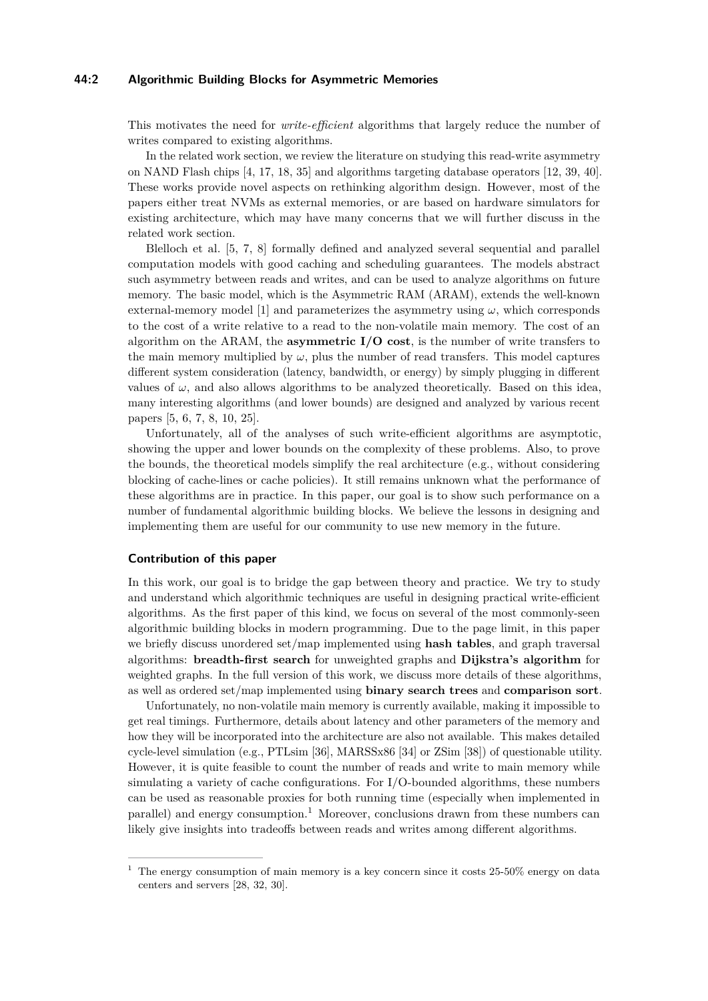## **44:2 Algorithmic Building Blocks for Asymmetric Memories**

This motivates the need for *write-efficient* algorithms that largely reduce the number of writes compared to existing algorithms.

In the related work section, we review the literature on studying this read-write asymmetry on NAND Flash chips [\[4,](#page-12-0) [17,](#page-13-4) [18,](#page-13-5) [35\]](#page-13-6) and algorithms targeting database operators [\[12,](#page-12-1) [39,](#page-14-2) [40\]](#page-14-3). These works provide novel aspects on rethinking algorithm design. However, most of the papers either treat NVMs as external memories, or are based on hardware simulators for existing architecture, which may have many concerns that we will further discuss in the related work section.

Blelloch et al. [\[5,](#page-12-2) [7,](#page-12-3) [8\]](#page-12-4) formally defined and analyzed several sequential and parallel computation models with good caching and scheduling guarantees. The models abstract such asymmetry between reads and writes, and can be used to analyze algorithms on future memory. The basic model, which is the Asymmetric RAM (ARAM), extends the well-known external-memory model [\[1\]](#page-12-5) and parameterizes the asymmetry using  $\omega$ , which corresponds to the cost of a write relative to a read to the non-volatile main memory. The cost of an algorithm on the ARAM, the **asymmetric I/O cost**, is the number of write transfers to the main memory multiplied by  $\omega$ , plus the number of read transfers. This model captures different system consideration (latency, bandwidth, or energy) by simply plugging in different values of  $\omega$ , and also allows algorithms to be analyzed theoretically. Based on this idea, many interesting algorithms (and lower bounds) are designed and analyzed by various recent papers [\[5,](#page-12-2) [6,](#page-12-6) [7,](#page-12-3) [8,](#page-12-4) [10,](#page-12-7) [25\]](#page-13-7).

Unfortunately, all of the analyses of such write-efficient algorithms are asymptotic, showing the upper and lower bounds on the complexity of these problems. Also, to prove the bounds, the theoretical models simplify the real architecture (e.g., without considering blocking of cache-lines or cache policies). It still remains unknown what the performance of these algorithms are in practice. In this paper, our goal is to show such performance on a number of fundamental algorithmic building blocks. We believe the lessons in designing and implementing them are useful for our community to use new memory in the future.

## **Contribution of this paper**

In this work, our goal is to bridge the gap between theory and practice. We try to study and understand which algorithmic techniques are useful in designing practical write-efficient algorithms. As the first paper of this kind, we focus on several of the most commonly-seen algorithmic building blocks in modern programming. Due to the page limit, in this paper we briefly discuss unordered set/map implemented using **hash tables**, and graph traversal algorithms: **breadth-first search** for unweighted graphs and **Dijkstra's algorithm** for weighted graphs. In the full version of this work, we discuss more details of these algorithms, as well as ordered set/map implemented using **binary search trees** and **comparison sort**.

Unfortunately, no non-volatile main memory is currently available, making it impossible to get real timings. Furthermore, details about latency and other parameters of the memory and how they will be incorporated into the architecture are also not available. This makes detailed cycle-level simulation (e.g., PTLsim [\[36\]](#page-13-8), MARSSx86 [\[34\]](#page-13-9) or ZSim [\[38\]](#page-14-4)) of questionable utility. However, it is quite feasible to count the number of reads and write to main memory while simulating a variety of cache configurations. For I/O-bounded algorithms, these numbers can be used as reasonable proxies for both running time (especially when implemented in parallel) and energy consumption.[1](#page-1-0) Moreover, conclusions drawn from these numbers can likely give insights into tradeoffs between reads and writes among different algorithms.

<span id="page-1-0"></span><sup>&</sup>lt;sup>1</sup> The energy consumption of main memory is a key concern since it costs 25-50% energy on data centers and servers [\[28,](#page-13-10) [32,](#page-13-11) [30\]](#page-13-12).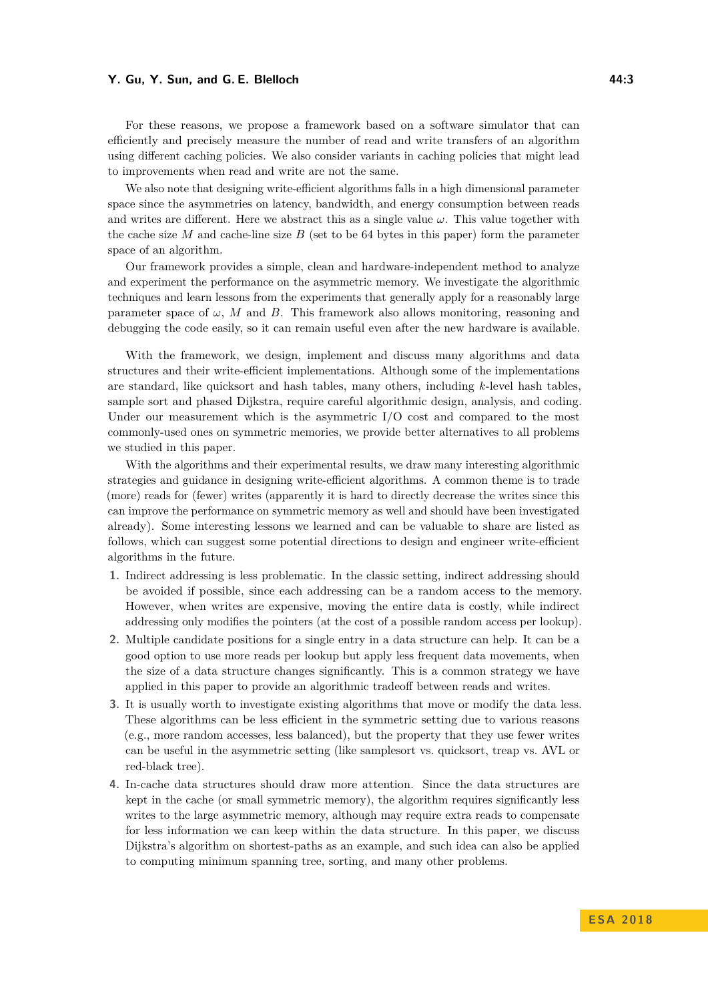For these reasons, we propose a framework based on a software simulator that can efficiently and precisely measure the number of read and write transfers of an algorithm using different caching policies. We also consider variants in caching policies that might lead to improvements when read and write are not the same.

We also note that designing write-efficient algorithms falls in a high dimensional parameter space since the asymmetries on latency, bandwidth, and energy consumption between reads and writes are different. Here we abstract this as a single value  $\omega$ . This value together with the cache size *M* and cache-line size *B* (set to be 64 bytes in this paper) form the parameter space of an algorithm.

Our framework provides a simple, clean and hardware-independent method to analyze and experiment the performance on the asymmetric memory. We investigate the algorithmic techniques and learn lessons from the experiments that generally apply for a reasonably large parameter space of  $\omega$ , *M* and *B*. This framework also allows monitoring, reasoning and debugging the code easily, so it can remain useful even after the new hardware is available.

With the framework, we design, implement and discuss many algorithms and data structures and their write-efficient implementations. Although some of the implementations are standard, like quicksort and hash tables, many others, including *k*-level hash tables, sample sort and phased Dijkstra, require careful algorithmic design, analysis, and coding. Under our measurement which is the asymmetric I/O cost and compared to the most commonly-used ones on symmetric memories, we provide better alternatives to all problems we studied in this paper.

With the algorithms and their experimental results, we draw many interesting algorithmic strategies and guidance in designing write-efficient algorithms. A common theme is to trade (more) reads for (fewer) writes (apparently it is hard to directly decrease the writes since this can improve the performance on symmetric memory as well and should have been investigated already). Some interesting lessons we learned and can be valuable to share are listed as follows, which can suggest some potential directions to design and engineer write-efficient algorithms in the future.

- **1.** Indirect addressing is less problematic. In the classic setting, indirect addressing should be avoided if possible, since each addressing can be a random access to the memory. However, when writes are expensive, moving the entire data is costly, while indirect addressing only modifies the pointers (at the cost of a possible random access per lookup).
- **2.** Multiple candidate positions for a single entry in a data structure can help. It can be a good option to use more reads per lookup but apply less frequent data movements, when the size of a data structure changes significantly. This is a common strategy we have applied in this paper to provide an algorithmic tradeoff between reads and writes.
- **3.** It is usually worth to investigate existing algorithms that move or modify the data less. These algorithms can be less efficient in the symmetric setting due to various reasons (e.g., more random accesses, less balanced), but the property that they use fewer writes can be useful in the asymmetric setting (like samplesort vs. quicksort, treap vs. AVL or red-black tree).
- **4.** In-cache data structures should draw more attention. Since the data structures are kept in the cache (or small symmetric memory), the algorithm requires significantly less writes to the large asymmetric memory, although may require extra reads to compensate for less information we can keep within the data structure. In this paper, we discuss Dijkstra's algorithm on shortest-paths as an example, and such idea can also be applied to computing minimum spanning tree, sorting, and many other problems.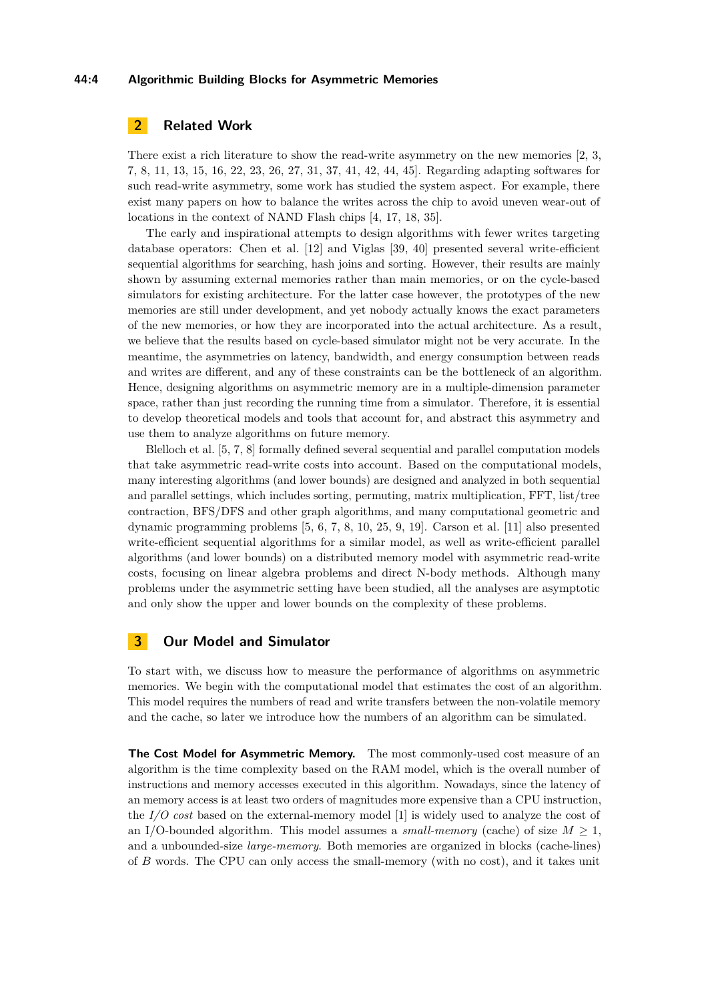## **44:4 Algorithmic Building Blocks for Asymmetric Memories**

# **2 Related Work**

There exist a rich literature to show the read-write asymmetry on the new memories [\[2,](#page-12-8) [3,](#page-12-9) [7,](#page-12-3) [8,](#page-12-4) [11,](#page-12-10) [13,](#page-12-11) [15,](#page-12-12) [16,](#page-12-13) [22,](#page-13-13) [23,](#page-13-14) [26,](#page-13-15) [27,](#page-13-16) [31,](#page-13-17) [37,](#page-13-18) [41,](#page-14-5) [42,](#page-14-6) [44,](#page-14-7) [45\]](#page-14-8). Regarding adapting softwares for such read-write asymmetry, some work has studied the system aspect. For example, there exist many papers on how to balance the writes across the chip to avoid uneven wear-out of locations in the context of NAND Flash chips [\[4,](#page-12-0) [17,](#page-13-4) [18,](#page-13-5) [35\]](#page-13-6).

The early and inspirational attempts to design algorithms with fewer writes targeting database operators: Chen et al. [\[12\]](#page-12-1) and Viglas [\[39,](#page-14-2) [40\]](#page-14-3) presented several write-efficient sequential algorithms for searching, hash joins and sorting. However, their results are mainly shown by assuming external memories rather than main memories, or on the cycle-based simulators for existing architecture. For the latter case however, the prototypes of the new memories are still under development, and yet nobody actually knows the exact parameters of the new memories, or how they are incorporated into the actual architecture. As a result, we believe that the results based on cycle-based simulator might not be very accurate. In the meantime, the asymmetries on latency, bandwidth, and energy consumption between reads and writes are different, and any of these constraints can be the bottleneck of an algorithm. Hence, designing algorithms on asymmetric memory are in a multiple-dimension parameter space, rather than just recording the running time from a simulator. Therefore, it is essential to develop theoretical models and tools that account for, and abstract this asymmetry and use them to analyze algorithms on future memory.

Blelloch et al. [\[5,](#page-12-2) [7,](#page-12-3) [8\]](#page-12-4) formally defined several sequential and parallel computation models that take asymmetric read-write costs into account. Based on the computational models, many interesting algorithms (and lower bounds) are designed and analyzed in both sequential and parallel settings, which includes sorting, permuting, matrix multiplication, FFT, list/tree contraction, BFS/DFS and other graph algorithms, and many computational geometric and dynamic programming problems [\[5,](#page-12-2) [6,](#page-12-6) [7,](#page-12-3) [8,](#page-12-4) [10,](#page-12-7) [25,](#page-13-7) [9,](#page-12-14) [19\]](#page-13-19). Carson et al. [\[11\]](#page-12-10) also presented write-efficient sequential algorithms for a similar model, as well as write-efficient parallel algorithms (and lower bounds) on a distributed memory model with asymmetric read-write costs, focusing on linear algebra problems and direct N-body methods. Although many problems under the asymmetric setting have been studied, all the analyses are asymptotic and only show the upper and lower bounds on the complexity of these problems.

# **3 Our Model and Simulator**

To start with, we discuss how to measure the performance of algorithms on asymmetric memories. We begin with the computational model that estimates the cost of an algorithm. This model requires the numbers of read and write transfers between the non-volatile memory and the cache, so later we introduce how the numbers of an algorithm can be simulated.

**The Cost Model for Asymmetric Memory.** The most commonly-used cost measure of an algorithm is the time complexity based on the RAM model, which is the overall number of instructions and memory accesses executed in this algorithm. Nowadays, since the latency of an memory access is at least two orders of magnitudes more expensive than a CPU instruction, the *I/O cost* based on the external-memory model [\[1\]](#page-12-5) is widely used to analyze the cost of an I/O-bounded algorithm. This model assumes a *small-memory* (cache) of size  $M \geq 1$ , and a unbounded-size *large-memory*. Both memories are organized in blocks (cache-lines) of *B* words. The CPU can only access the small-memory (with no cost), and it takes unit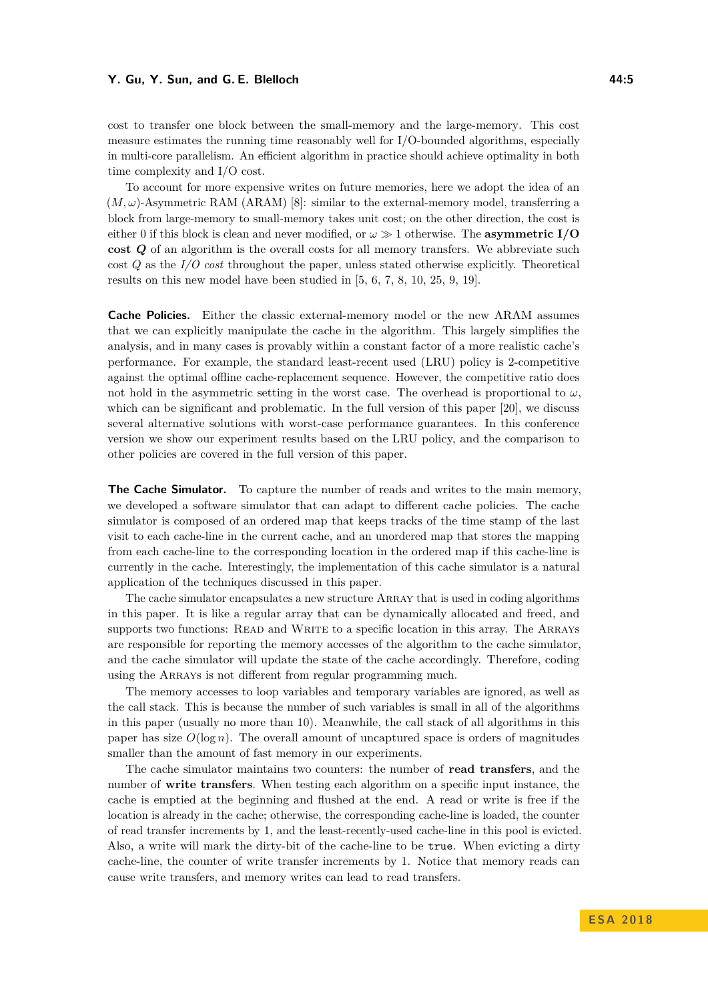cost to transfer one block between the small-memory and the large-memory. This cost measure estimates the running time reasonably well for I/O-bounded algorithms, especially in multi-core parallelism. An efficient algorithm in practice should achieve optimality in both time complexity and I/O cost.

To account for more expensive writes on future memories, here we adopt the idea of an  $(M,\omega)$ -Asymmetric RAM (ARAM) [\[8\]](#page-12-4): similar to the external-memory model, transferring a block from large-memory to small-memory takes unit cost; on the other direction, the cost is either 0 if this block is clean and never modified, or  $\omega \gg 1$  otherwise. The **asymmetric I/O cost** *Q* of an algorithm is the overall costs for all memory transfers. We abbreviate such cost *Q* as the *I/O cost* throughout the paper, unless stated otherwise explicitly. Theoretical results on this new model have been studied in [\[5,](#page-12-2) [6,](#page-12-6) [7,](#page-12-3) [8,](#page-12-4) [10,](#page-12-7) [25,](#page-13-7) [9,](#page-12-14) [19\]](#page-13-19).

**Cache Policies.** Either the classic external-memory model or the new ARAM assumes that we can explicitly manipulate the cache in the algorithm. This largely simplifies the analysis, and in many cases is provably within a constant factor of a more realistic cache's performance. For example, the standard least-recent used (LRU) policy is 2-competitive against the optimal offline cache-replacement sequence. However, the competitive ratio does not hold in the asymmetric setting in the worst case. The overhead is proportional to  $\omega$ , which can be significant and problematic. In the full version of this paper [\[20\]](#page-13-0), we discuss several alternative solutions with worst-case performance guarantees. In this conference version we show our experiment results based on the LRU policy, and the comparison to other policies are covered in the full version of this paper.

**The Cache Simulator.** To capture the number of reads and writes to the main memory, we developed a software simulator that can adapt to different cache policies. The cache simulator is composed of an ordered map that keeps tracks of the time stamp of the last visit to each cache-line in the current cache, and an unordered map that stores the mapping from each cache-line to the corresponding location in the ordered map if this cache-line is currently in the cache. Interestingly, the implementation of this cache simulator is a natural application of the techniques discussed in this paper.

The cache simulator encapsulates a new structure Array that is used in coding algorithms in this paper. It is like a regular array that can be dynamically allocated and freed, and supports two functions: READ and WRITE to a specific location in this array. The ARRAYs are responsible for reporting the memory accesses of the algorithm to the cache simulator, and the cache simulator will update the state of the cache accordingly. Therefore, coding using the ARRAYs is not different from regular programming much.

The memory accesses to loop variables and temporary variables are ignored, as well as the call stack. This is because the number of such variables is small in all of the algorithms in this paper (usually no more than 10). Meanwhile, the call stack of all algorithms in this paper has size  $O(\log n)$ . The overall amount of uncaptured space is orders of magnitudes smaller than the amount of fast memory in our experiments.

The cache simulator maintains two counters: the number of **read transfers**, and the number of **write transfers**. When testing each algorithm on a specific input instance, the cache is emptied at the beginning and flushed at the end. A read or write is free if the location is already in the cache; otherwise, the corresponding cache-line is loaded, the counter of read transfer increments by 1, and the least-recently-used cache-line in this pool is evicted. Also, a write will mark the dirty-bit of the cache-line to be true. When evicting a dirty cache-line, the counter of write transfer increments by 1. Notice that memory reads can cause write transfers, and memory writes can lead to read transfers.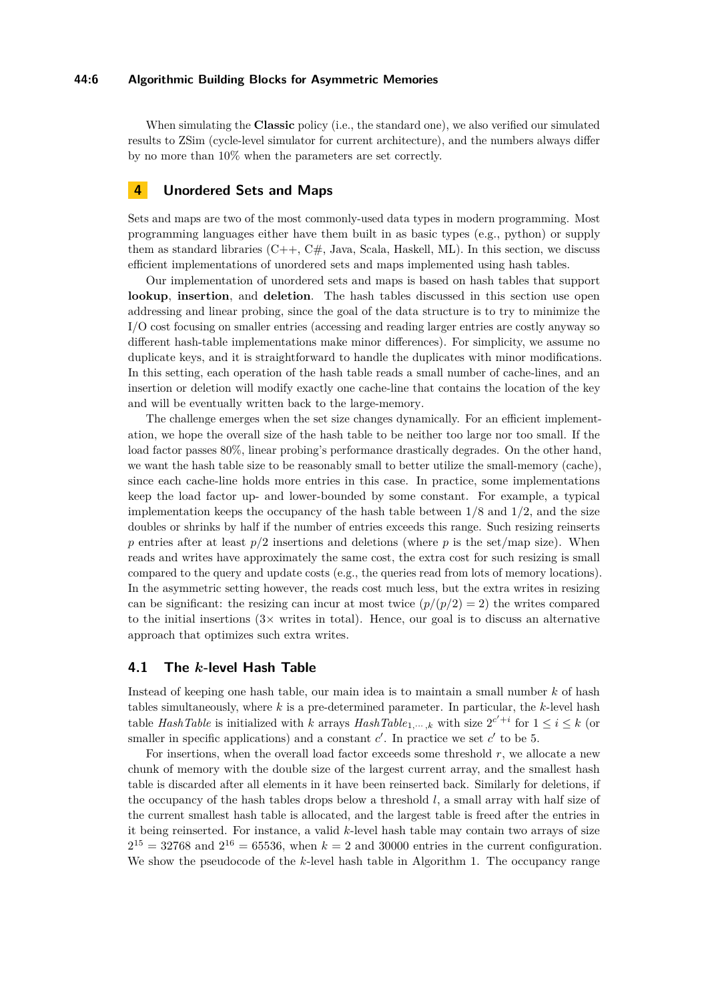## **44:6 Algorithmic Building Blocks for Asymmetric Memories**

When simulating the **Classic** policy (i.e., the standard one), we also verified our simulated results to ZSim (cycle-level simulator for current architecture), and the numbers always differ by no more than 10% when the parameters are set correctly.

# <span id="page-5-1"></span>**4 Unordered Sets and Maps**

Sets and maps are two of the most commonly-used data types in modern programming. Most programming languages either have them built in as basic types (e.g., python) or supply them as standard libraries  $(C++, C#,)$  Java, Scala, Haskell, ML). In this section, we discuss efficient implementations of unordered sets and maps implemented using hash tables.

Our implementation of unordered sets and maps is based on hash tables that support **lookup**, **insertion**, and **deletion**. The hash tables discussed in this section use open addressing and linear probing, since the goal of the data structure is to try to minimize the I/O cost focusing on smaller entries (accessing and reading larger entries are costly anyway so different hash-table implementations make minor differences). For simplicity, we assume no duplicate keys, and it is straightforward to handle the duplicates with minor modifications. In this setting, each operation of the hash table reads a small number of cache-lines, and an insertion or deletion will modify exactly one cache-line that contains the location of the key and will be eventually written back to the large-memory.

The challenge emerges when the set size changes dynamically. For an efficient implementation, we hope the overall size of the hash table to be neither too large nor too small. If the load factor passes 80%, linear probing's performance drastically degrades. On the other hand, we want the hash table size to be reasonably small to better utilize the small-memory (cache), since each cache-line holds more entries in this case. In practice, some implementations keep the load factor up- and lower-bounded by some constant. For example, a typical implementation keeps the occupancy of the hash table between  $1/8$  and  $1/2$ , and the size doubles or shrinks by half if the number of entries exceeds this range. Such resizing reinserts *p* entries after at least  $p/2$  insertions and deletions (where *p* is the set/map size). When reads and writes have approximately the same cost, the extra cost for such resizing is small compared to the query and update costs (e.g., the queries read from lots of memory locations). In the asymmetric setting however, the reads cost much less, but the extra writes in resizing can be significant: the resizing can incur at most twice  $\left(\frac{p}{p/2}\right) = 2$ ) the writes compared to the initial insertions  $(3 \times \text{writes in total})$ . Hence, our goal is to discuss an alternative approach that optimizes such extra writes.

## <span id="page-5-0"></span>**4.1 The** *k***-level Hash Table**

Instead of keeping one hash table, our main idea is to maintain a small number *k* of hash tables simultaneously, where *k* is a pre-determined parameter. In particular, the *k*-level hash table *HashTable* is initialized with *k* arrays  $HashTable_{1,\dots,k}$  with size  $2^{c'+i}$  for  $1 \leq i \leq k$  (or smaller in specific applications) and a constant  $c'$ . In practice we set  $c'$  to be 5.

For insertions, when the overall load factor exceeds some threshold *r*, we allocate a new chunk of memory with the double size of the largest current array, and the smallest hash table is discarded after all elements in it have been reinserted back. Similarly for deletions, if the occupancy of the hash tables drops below a threshold *l*, a small array with half size of the current smallest hash table is allocated, and the largest table is freed after the entries in it being reinserted. For instance, a valid *k*-level hash table may contain two arrays of size  $2^{15} = 32768$  and  $2^{16} = 65536$ , when  $k = 2$  and 30000 entries in the current configuration. We show the pseudocode of the *k*-level hash table in Algorithm [1.](#page-6-0) The occupancy range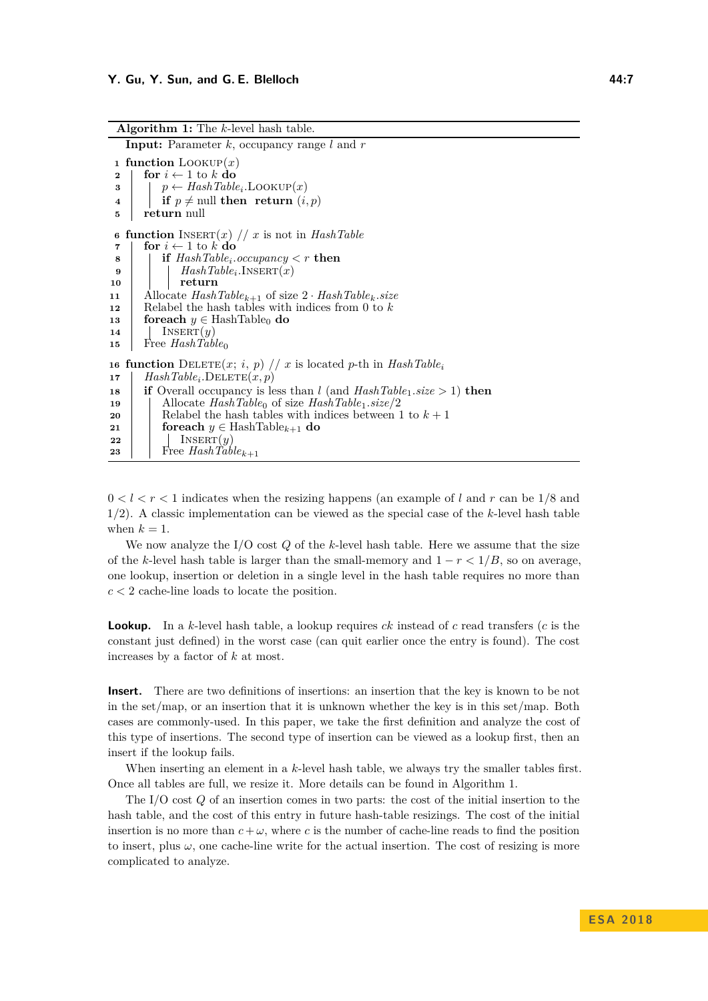<span id="page-6-0"></span>**Algorithm 1:** The *k*-level hash table. **Input:** Parameter *k*, occupancy range *l* and *r* **function**  $\text{LOOKUP}(x)$  **for**  $i \leftarrow 1$  to  $k$  **do**   $\vert$  *p* ← *HashTable<sub>i</sub>*</sub>.LOOKUP $(x)$  **if**  $p \neq \text{null}$  **then return**  $(i, p)$  **return** null **function**  $I$ NSERT $(x)$  // *x* is not in *HashTable*  **for**  $i \leftarrow 1$  to  $k$  **do**  $\textbf{8}$  | **if**  $HashTable_i. occupancy < r$  **then**   $\left| \begin{array}{c} \end{array} \right|$  *HashTable<sub>i</sub>*.INSERT $(x)$ **10 return** Allocate *HashTablek*+1 of size 2 · *HashTablek.size* Relabel the hash tables with indices from 0 to *k* **foreach**  $y \in$  HashTable<sub>0</sub> **do**  Insert(*y*) Free *HashTable*<sup>0</sup> **function**  $\text{DELETE}(x; i, p)$  // *x* is located *p*-th in  $\text{HashTable}_{i}$  $\texttt{17}$  |  $HashTable_i.\text{DELETE}(x, p)$  **if** Overall occupancy is less than *l* (and  $HashTable_1.size \ge 1$ ) **then**  Allocate  $HashTable_0$  of size  $HashTable_1.size/2$  | Relabel the hash tables with indices between 1 to  $k+1$  **foreach**  $y \in$  HashTable<sub>k+1</sub> **do**  | | INSERT $(y)$ Free *HashTable*<sub> $k+1$ </sub>

 $0 < l < r < 1$  indicates when the resizing happens (an example of l and r can be  $1/8$  and 1*/*2). A classic implementation can be viewed as the special case of the *k*-level hash table when  $k = 1$ .

We now analyze the I/O cost *Q* of the *k*-level hash table. Here we assume that the size of the *k*-level hash table is larger than the small-memory and  $1 - r < 1/B$ , so on average, one lookup, insertion or deletion in a single level in the hash table requires no more than *c <* 2 cache-line loads to locate the position.

**Lookup.** In a *k*-level hash table, a lookup requires *ck* instead of *c* read transfers (*c* is the constant just defined) in the worst case (can quit earlier once the entry is found). The cost increases by a factor of *k* at most.

**Insert.** There are two definitions of insertions: an insertion that the key is known to be not in the set/map, or an insertion that it is unknown whether the key is in this set/map. Both cases are commonly-used. In this paper, we take the first definition and analyze the cost of this type of insertions. The second type of insertion can be viewed as a lookup first, then an insert if the lookup fails.

When inserting an element in a *k*-level hash table, we always try the smaller tables first. Once all tables are full, we resize it. More details can be found in Algorithm [1.](#page-6-0)

The I/O cost *Q* of an insertion comes in two parts: the cost of the initial insertion to the hash table, and the cost of this entry in future hash-table resizings. The cost of the initial insertion is no more than  $c + \omega$ , where *c* is the number of cache-line reads to find the position to insert, plus  $\omega$ , one cache-line write for the actual insertion. The cost of resizing is more complicated to analyze.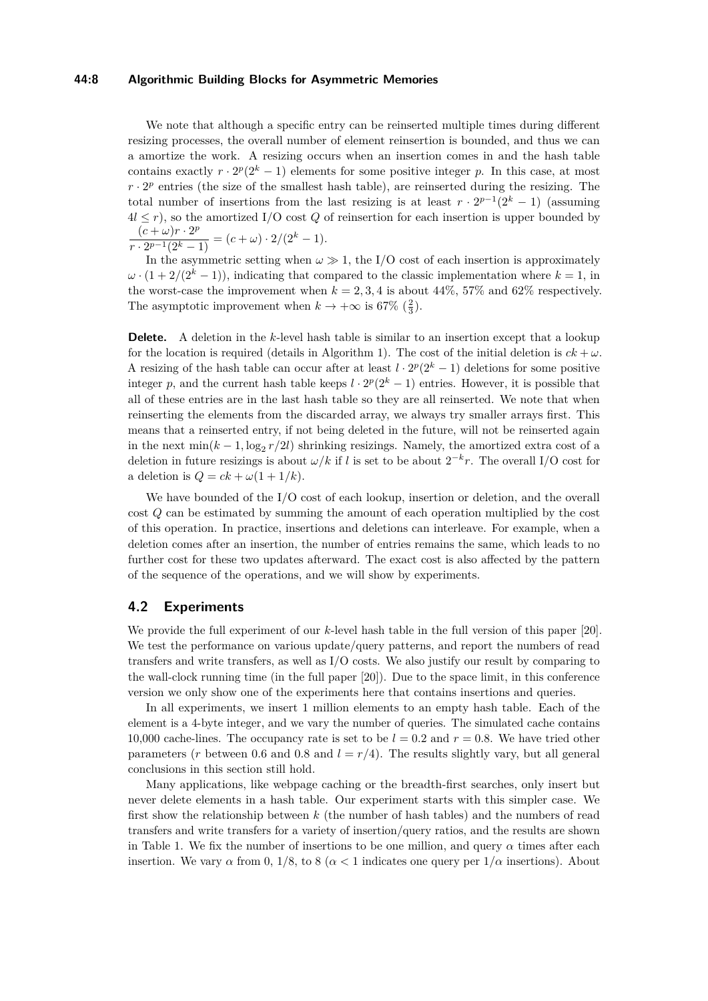#### **44:8 Algorithmic Building Blocks for Asymmetric Memories**

We note that although a specific entry can be reinserted multiple times during different resizing processes, the overall number of element reinsertion is bounded, and thus we can a amortize the work. A resizing occurs when an insertion comes in and the hash table contains exactly  $r \cdot 2^p(2^k - 1)$  elements for some positive integer p. In this case, at most  $r \cdot 2^p$  entries (the size of the smallest hash table), are reinserted during the resizing. The total number of insertions from the last resizing is at least  $r \cdot 2^{p-1}(2^k - 1)$  (assuming  $4l \leq r$ , so the amortized I/O cost Q of reinsertion for each insertion is upper bounded by  $(c + \omega)r \cdot 2^p$  $\frac{(c+w)t+2^{k}}{r\cdot 2^{p-1}(2^k-1)} = (c+\omega)\cdot 2/(2^k-1).$ 

In the asymmetric setting when  $\omega \gg 1$ , the I/O cost of each insertion is approximately  $\omega \cdot (1 + 2/(2^k - 1))$ , indicating that compared to the classic implementation where  $k = 1$ , in the worst-case the improvement when  $k = 2, 3, 4$  is about 44\%, 57\% and 62\% respectively. The asymptotic improvement when  $k \to +\infty$  is 67% ( $\frac{2}{3}$ ).

**Delete.** A deletion in the *k*-level hash table is similar to an insertion except that a lookup for the location is required (details in Algorithm [1\)](#page-6-0). The cost of the initial deletion is  $ck + \omega$ . A resizing of the hash table can occur after at least  $l \cdot 2^p(2^k - 1)$  deletions for some positive integer *p*, and the current hash table keeps  $l \cdot 2^p(2^k - 1)$  entries. However, it is possible that all of these entries are in the last hash table so they are all reinserted. We note that when reinserting the elements from the discarded array, we always try smaller arrays first. This means that a reinserted entry, if not being deleted in the future, will not be reinserted again in the next  $\min(k-1, \log_2 r/2l)$  shrinking resizings. Namely, the amortized extra cost of a deletion in future resizings is about  $\omega/k$  if *l* is set to be about  $2^{-k}r$ . The overall I/O cost for a deletion is  $Q = ck + \omega(1 + 1/k)$ .

We have bounded of the I/O cost of each lookup, insertion or deletion, and the overall cost *Q* can be estimated by summing the amount of each operation multiplied by the cost of this operation. In practice, insertions and deletions can interleave. For example, when a deletion comes after an insertion, the number of entries remains the same, which leads to no further cost for these two updates afterward. The exact cost is also affected by the pattern of the sequence of the operations, and we will show by experiments.

## **4.2 Experiments**

We provide the full experiment of our *k*-level hash table in the full version of this paper [\[20\]](#page-13-0). We test the performance on various update/query patterns, and report the numbers of read transfers and write transfers, as well as I/O costs. We also justify our result by comparing to the wall-clock running time (in the full paper [\[20\]](#page-13-0)). Due to the space limit, in this conference version we only show one of the experiments here that contains insertions and queries.

In all experiments, we insert 1 million elements to an empty hash table. Each of the element is a 4-byte integer, and we vary the number of queries. The simulated cache contains 10,000 cache-lines. The occupancy rate is set to be  $l = 0.2$  and  $r = 0.8$ . We have tried other parameters (*r* between 0.6 and 0.8 and  $l = r/4$ ). The results slightly vary, but all general conclusions in this section still hold.

Many applications, like webpage caching or the breadth-first searches, only insert but never delete elements in a hash table. Our experiment starts with this simpler case. We first show the relationship between *k* (the number of hash tables) and the numbers of read transfers and write transfers for a variety of insertion/query ratios, and the results are shown in Table [1.](#page-8-0) We fix the number of insertions to be one million, and query  $\alpha$  times after each insertion. We vary  $\alpha$  from 0, 1/8, to 8 ( $\alpha$  < 1 indicates one query per  $1/\alpha$  insertions). About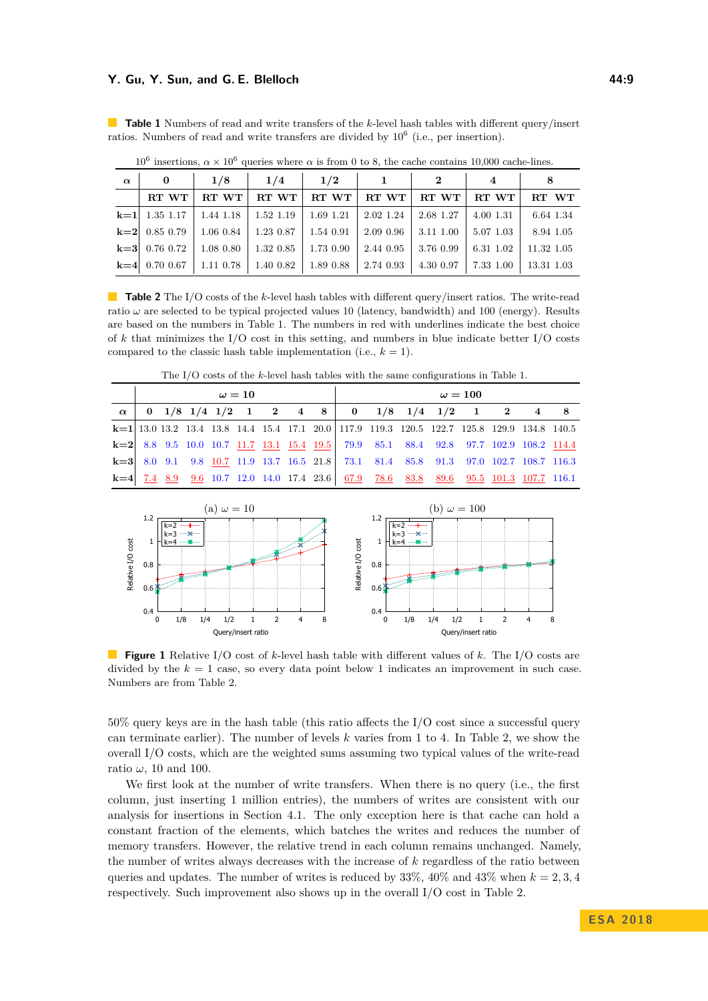| $\alpha$ | 0               | 1/8       | 1/4          | 1/2       | 1         | $\bf{2}$  |           | 8          |  |
|----------|-----------------|-----------|--------------|-----------|-----------|-----------|-----------|------------|--|
|          | RT WT           | RT WT     | RT WT        | RT WT     | RT WT     | RT WT     | RT WT     | RT WT      |  |
|          | $k=1$ 1.35 1.17 | 1.44 1.18 | 1.52 1.19    | 1.69 1.21 | 2.02 1.24 | 2.68 1.27 | 4.00 1.31 | 6.64 1.34  |  |
|          | $k=2$ 0.85 0.79 | 1.06 0.84 | 1.23 0.87    | 1.54 0.91 | 2.09 0.96 | 3.11 1.00 | 5.07 1.03 | 8.94 1.05  |  |
|          | $k=3$ 0.76 0.72 | 1.08 0.80 | $1.32\;0.85$ | 1.73 0.90 | 2.44 0.95 | 3.76 0.99 | 6.31 1.02 | 11.32 1.05 |  |
|          | $k=4$ 0.70 0.67 | 1.11 0.78 | 1.40 0.82    | 1.89 0.88 | 2.74 0.93 | 4.30 0.97 | 7.33 1.00 | 13.31 1.03 |  |

<span id="page-8-0"></span>**Table 1** Numbers of read and write transfers of the *k*-level hash tables with different query/insert ratios. Numbers of read and write transfers are divided by  $10^6$  (i.e., per insertion).

10<sup>6</sup> insertions,  $\alpha \times 10^6$  queries where  $\alpha$  is from 0 to 8, the cache contains 10,000 cache-lines.

<span id="page-8-1"></span>**Table 2** The I/O costs of the *k*-level hash tables with different query/insert ratios. The write-read ratio  $\omega$  are selected to be typical projected values 10 (latency, bandwidth) and 100 (energy). Results are based on the numbers in Table [1.](#page-8-0) The numbers in red with underlines indicate the best choice of *k* that minimizes the I/O cost in this setting, and numbers in blue indicate better I/O costs

| <b>K</b> =4 0.70 0.07 1.11 0.78 1.40 0.82 1.89 0.88 2.74 0.95 1.30 0.97 1.35 1.00 1.35 1.05                  |
|--------------------------------------------------------------------------------------------------------------|
|                                                                                                              |
| <b>Table 2</b> The I/O costs of the k-level hash tables with different query/insert ratios. The write-read   |
| ratio $\omega$ are selected to be typical projected values 10 (latency, bandwidth) and 100 (energy). Results |
| are based on the numbers in Table 1. The numbers in red with underlines indicate the best choice             |
| of k that minimizes the I/O cost in this setting, and numbers in blue indicate better I/O costs              |
| compared to the classic hash table implementation (i.e., $k = 1$ ).                                          |

The I/O costs of the *k*-level hash tables with the same configurations in Table [1.](#page-8-0)

|          | $\omega = 10$ |  |  |  |  |  |  | $\omega = 100$ |  |                                                                                                     |  |  |  |  |  |  |
|----------|---------------|--|--|--|--|--|--|----------------|--|-----------------------------------------------------------------------------------------------------|--|--|--|--|--|--|
| $\alpha$ |               |  |  |  |  |  |  |                |  | 0 1/8 1/4 1/2 1 2 4 8 0 1/8 1/4 1/2 1 2 4 8                                                         |  |  |  |  |  |  |
|          |               |  |  |  |  |  |  |                |  | <b>k</b> =1 13.0 13.2 13.4 13.8 14.4 15.4 17.1 20.0 117.9 119.3 120.5 122.7 125.8 129.9 134.8 140.5 |  |  |  |  |  |  |
|          |               |  |  |  |  |  |  |                |  | k=2 8.8 9.5 10.0 10.7 11.7 13.1 15.4 19.5 79.9 85.1 88.4 92.8 97.7 102.9 108.2 114.4                |  |  |  |  |  |  |
|          |               |  |  |  |  |  |  |                |  | <b>k=3</b> 8.0 9.1 9.8 10.7 11.9 13.7 16.5 21.8 73.1 81.4 85.8 91.3 97.0 102.7 108.7 116.3          |  |  |  |  |  |  |
|          |               |  |  |  |  |  |  |                |  | <b>k</b> =4 7.4 8.9 9.6 10.7 12.0 14.0 17.4 23.6 67.9 78.6 83.8 89.6 95.5 101.3 107.7 116.1         |  |  |  |  |  |  |



**Figure 1** Relative I/O cost of *k*-level hash table with different values of *k*. The I/O costs are divided by the  $k = 1$  case, so every data point below 1 indicates an improvement in such case. Numbers are from Table [2.](#page-8-1)

50% query keys are in the hash table (this ratio affects the I/O cost since a successful query can terminate earlier). The number of levels *k* varies from 1 to 4. In Table [2,](#page-8-1) we show the overall I/O costs, which are the weighted sums assuming two typical values of the write-read ratio  $\omega$ , 10 and 100.

We first look at the number of write transfers. When there is no query (i.e., the first column, just inserting 1 million entries), the numbers of writes are consistent with our analysis for insertions in Section [4.1.](#page-5-0) The only exception here is that cache can hold a constant fraction of the elements, which batches the writes and reduces the number of memory transfers. However, the relative trend in each column remains unchanged. Namely, the number of writes always decreases with the increase of *k* regardless of the ratio between queries and updates. The number of writes is reduced by  $33\%$ ,  $40\%$  and  $43\%$  when  $k = 2, 3, 4$ respectively. Such improvement also shows up in the overall I/O cost in Table [2.](#page-8-1)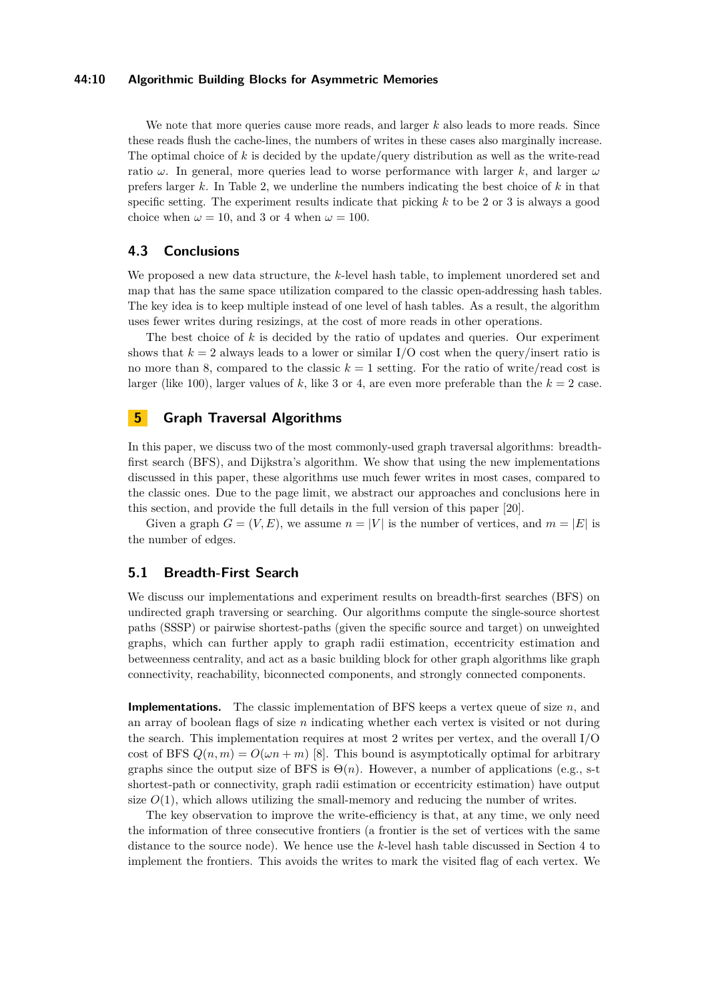## **44:10 Algorithmic Building Blocks for Asymmetric Memories**

We note that more queries cause more reads, and larger *k* also leads to more reads. Since these reads flush the cache-lines, the numbers of writes in these cases also marginally increase. The optimal choice of *k* is decided by the update/query distribution as well as the write-read ratio *ω*. In general, more queries lead to worse performance with larger *k*, and larger *ω* prefers larger *k*. In Table [2,](#page-8-1) we underline the numbers indicating the best choice of *k* in that specific setting. The experiment results indicate that picking *k* to be 2 or 3 is always a good choice when  $\omega = 10$ , and 3 or 4 when  $\omega = 100$ .

# **4.3 Conclusions**

We proposed a new data structure, the *k*-level hash table, to implement unordered set and map that has the same space utilization compared to the classic open-addressing hash tables. The key idea is to keep multiple instead of one level of hash tables. As a result, the algorithm uses fewer writes during resizings, at the cost of more reads in other operations.

The best choice of *k* is decided by the ratio of updates and queries. Our experiment shows that  $k = 2$  always leads to a lower or similar I/O cost when the query/insert ratio is no more than 8, compared to the classic  $k = 1$  setting. For the ratio of write/read cost is larger (like 100), larger values of  $k$ , like 3 or 4, are even more preferable than the  $k = 2$  case.

# **5 Graph Traversal Algorithms**

In this paper, we discuss two of the most commonly-used graph traversal algorithms: breadthfirst search (BFS), and Dijkstra's algorithm. We show that using the new implementations discussed in this paper, these algorithms use much fewer writes in most cases, compared to the classic ones. Due to the page limit, we abstract our approaches and conclusions here in this section, and provide the full details in the full version of this paper [\[20\]](#page-13-0).

Given a graph  $G = (V, E)$ , we assume  $n = |V|$  is the number of vertices, and  $m = |E|$  is the number of edges.

## **5.1 Breadth-First Search**

We discuss our implementations and experiment results on breadth-first searches (BFS) on undirected graph traversing or searching. Our algorithms compute the single-source shortest paths (SSSP) or pairwise shortest-paths (given the specific source and target) on unweighted graphs, which can further apply to graph radii estimation, eccentricity estimation and betweenness centrality, and act as a basic building block for other graph algorithms like graph connectivity, reachability, biconnected components, and strongly connected components.

**Implementations.** The classic implementation of BFS keeps a vertex queue of size *n*, and an array of boolean flags of size *n* indicating whether each vertex is visited or not during the search. This implementation requires at most 2 writes per vertex, and the overall I/O cost of BFS  $Q(n, m) = O(\omega n + m)$  [\[8\]](#page-12-4). This bound is asymptotically optimal for arbitrary graphs since the output size of BFS is  $\Theta(n)$ . However, a number of applications (e.g., s-t shortest-path or connectivity, graph radii estimation or eccentricity estimation) have output size  $O(1)$ , which allows utilizing the small-memory and reducing the number of writes.

The key observation to improve the write-efficiency is that, at any time, we only need the information of three consecutive frontiers (a frontier is the set of vertices with the same distance to the source node). We hence use the *k*-level hash table discussed in Section [4](#page-5-1) to implement the frontiers. This avoids the writes to mark the visited flag of each vertex. We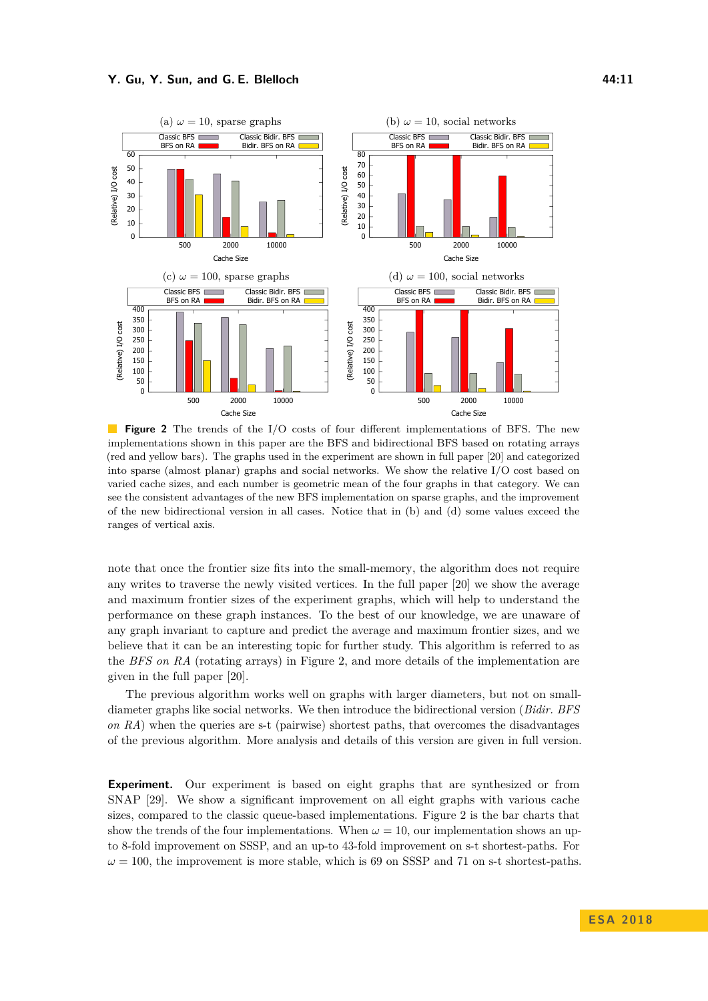<span id="page-10-0"></span>

**Figure 2** The trends of the I/O costs of four different implementations of BFS. The new implementations shown in this paper are the BFS and bidirectional BFS based on rotating arrays (red and yellow bars). The graphs used in the experiment are shown in full paper [\[20\]](#page-13-0) and categorized into sparse (almost planar) graphs and social networks. We show the relative  $I/O$  cost based on varied cache sizes, and each number is geometric mean of the four graphs in that category. We can see the consistent advantages of the new BFS implementation on sparse graphs, and the improvement of the new bidirectional version in all cases. Notice that in (b) and (d) some values exceed the ranges of vertical axis.

note that once the frontier size fits into the small-memory, the algorithm does not require any writes to traverse the newly visited vertices. In the full paper [\[20\]](#page-13-0) we show the average and maximum frontier sizes of the experiment graphs, which will help to understand the performance on these graph instances. To the best of our knowledge, we are unaware of any graph invariant to capture and predict the average and maximum frontier sizes, and we believe that it can be an interesting topic for further study. This algorithm is referred to as the *BFS on RA* (rotating arrays) in Figure [2,](#page-10-0) and more details of the implementation are given in the full paper [\[20\]](#page-13-0).

The previous algorithm works well on graphs with larger diameters, but not on smalldiameter graphs like social networks. We then introduce the bidirectional version (*Bidir. BFS on RA*) when the queries are s-t (pairwise) shortest paths, that overcomes the disadvantages of the previous algorithm. More analysis and details of this version are given in full version.

**Experiment.** Our experiment is based on eight graphs that are synthesized or from SNAP [\[29\]](#page-13-20). We show a significant improvement on all eight graphs with various cache sizes, compared to the classic queue-based implementations. Figure [2](#page-10-0) is the bar charts that show the trends of the four implementations. When  $\omega = 10$ , our implementation shows an upto 8-fold improvement on SSSP, and an up-to 43-fold improvement on s-t shortest-paths. For  $\omega = 100$ , the improvement is more stable, which is 69 on SSSP and 71 on s-t shortest-paths.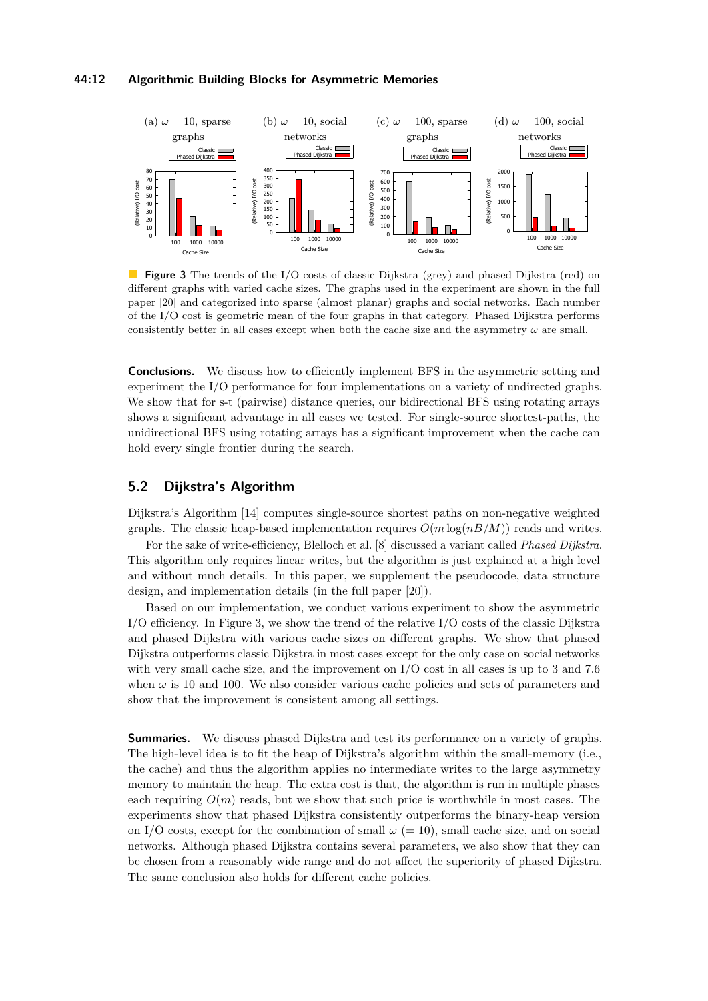## **44:12 Algorithmic Building Blocks for Asymmetric Memories**

<span id="page-11-0"></span>

**Figure 3** The trends of the I/O costs of classic Dijkstra (grey) and phased Dijkstra (red) on different graphs with varied cache sizes. The graphs used in the experiment are shown in the full paper [\[20\]](#page-13-0) and categorized into sparse (almost planar) graphs and social networks. Each number of the I/O cost is geometric mean of the four graphs in that category. Phased Dijkstra performs consistently better in all cases except when both the cache size and the asymmetry  $\omega$  are small.

**Conclusions.** We discuss how to efficiently implement BFS in the asymmetric setting and experiment the I/O performance for four implementations on a variety of undirected graphs. We show that for s-t (pairwise) distance queries, our bidirectional BFS using rotating arrays shows a significant advantage in all cases we tested. For single-source shortest-paths, the unidirectional BFS using rotating arrays has a significant improvement when the cache can hold every single frontier during the search.

# **5.2 Dijkstra's Algorithm**

Dijkstra's Algorithm [\[14\]](#page-12-15) computes single-source shortest paths on non-negative weighted graphs. The classic heap-based implementation requires  $O(m \log(nB/M))$  reads and writes.

For the sake of write-efficiency, Blelloch et al. [\[8\]](#page-12-4) discussed a variant called *Phased Dijkstra*. This algorithm only requires linear writes, but the algorithm is just explained at a high level and without much details. In this paper, we supplement the pseudocode, data structure design, and implementation details (in the full paper [\[20\]](#page-13-0)).

Based on our implementation, we conduct various experiment to show the asymmetric I/O efficiency. In Figure [3,](#page-11-0) we show the trend of the relative I/O costs of the classic Dijkstra and phased Dijkstra with various cache sizes on different graphs. We show that phased Dijkstra outperforms classic Dijkstra in most cases except for the only case on social networks with very small cache size, and the improvement on I/O cost in all cases is up to 3 and 7.6 when  $\omega$  is 10 and 100. We also consider various cache policies and sets of parameters and show that the improvement is consistent among all settings.

**Summaries.** We discuss phased Dijkstra and test its performance on a variety of graphs. The high-level idea is to fit the heap of Dijkstra's algorithm within the small-memory (i.e., the cache) and thus the algorithm applies no intermediate writes to the large asymmetry memory to maintain the heap. The extra cost is that, the algorithm is run in multiple phases each requiring  $O(m)$  reads, but we show that such price is worthwhile in most cases. The experiments show that phased Dijkstra consistently outperforms the binary-heap version on I/O costs, except for the combination of small  $\omega (= 10)$ , small cache size, and on social networks. Although phased Dijkstra contains several parameters, we also show that they can be chosen from a reasonably wide range and do not affect the superiority of phased Dijkstra. The same conclusion also holds for different cache policies.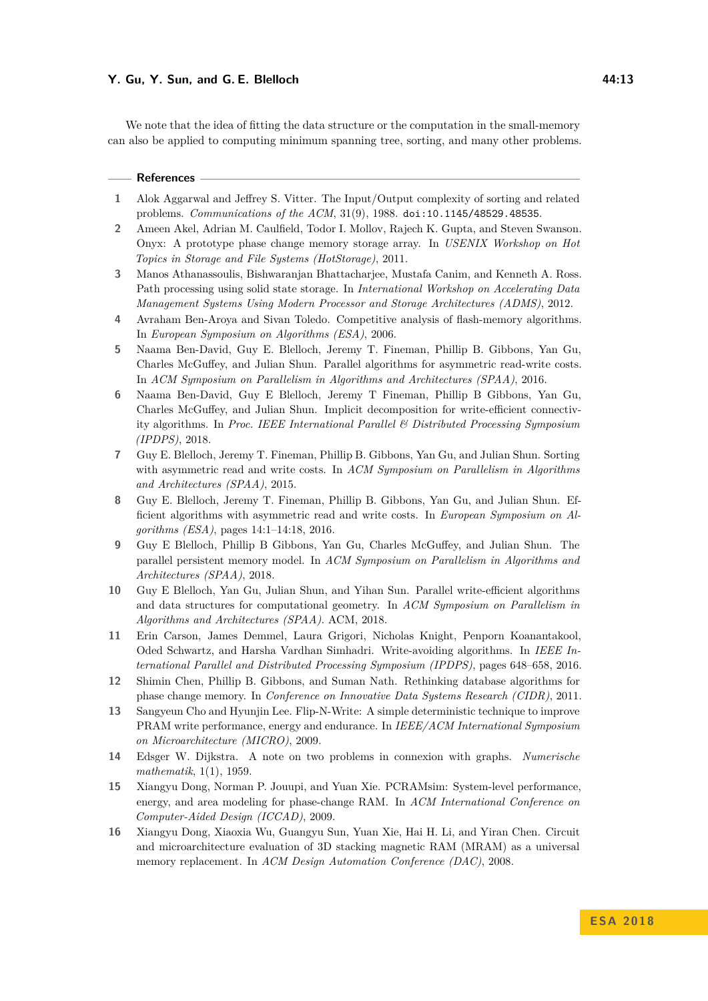We note that the idea of fitting the data structure or the computation in the small-memory can also be applied to computing minimum spanning tree, sorting, and many other problems.

#### **References**

- <span id="page-12-5"></span>**1** Alok Aggarwal and Jeffrey S. Vitter. The Input/Output complexity of sorting and related problems. *Communications of the ACM*, 31(9), 1988. [doi:10.1145/48529.48535](http://dx.doi.org/10.1145/48529.48535).
- <span id="page-12-8"></span>**2** Ameen Akel, Adrian M. Caulfield, Todor I. Mollov, Rajech K. Gupta, and Steven Swanson. Onyx: A prototype phase change memory storage array. In *USENIX Workshop on Hot Topics in Storage and File Systems (HotStorage)*, 2011.
- <span id="page-12-9"></span>**3** Manos Athanassoulis, Bishwaranjan Bhattacharjee, Mustafa Canim, and Kenneth A. Ross. Path processing using solid state storage. In *International Workshop on Accelerating Data Management Systems Using Modern Processor and Storage Architectures (ADMS)*, 2012.
- <span id="page-12-0"></span>**4** Avraham Ben-Aroya and Sivan Toledo. Competitive analysis of flash-memory algorithms. In *European Symposium on Algorithms (ESA)*, 2006.
- <span id="page-12-2"></span>**5** Naama Ben-David, Guy E. Blelloch, Jeremy T. Fineman, Phillip B. Gibbons, Yan Gu, Charles McGuffey, and Julian Shun. Parallel algorithms for asymmetric read-write costs. In *ACM Symposium on Parallelism in Algorithms and Architectures (SPAA)*, 2016.
- <span id="page-12-6"></span>**6** Naama Ben-David, Guy E Blelloch, Jeremy T Fineman, Phillip B Gibbons, Yan Gu, Charles McGuffey, and Julian Shun. Implicit decomposition for write-efficient connectivity algorithms. In *Proc. IEEE International Parallel & Distributed Processing Symposium (IPDPS)*, 2018.
- <span id="page-12-3"></span>**7** Guy E. Blelloch, Jeremy T. Fineman, Phillip B. Gibbons, Yan Gu, and Julian Shun. Sorting with asymmetric read and write costs. In *ACM Symposium on Parallelism in Algorithms and Architectures (SPAA)*, 2015.
- <span id="page-12-4"></span>**8** Guy E. Blelloch, Jeremy T. Fineman, Phillip B. Gibbons, Yan Gu, and Julian Shun. Efficient algorithms with asymmetric read and write costs. In *European Symposium on Algorithms (ESA)*, pages 14:1–14:18, 2016.
- <span id="page-12-14"></span>**9** Guy E Blelloch, Phillip B Gibbons, Yan Gu, Charles McGuffey, and Julian Shun. The parallel persistent memory model. In *ACM Symposium on Parallelism in Algorithms and Architectures (SPAA)*, 2018.
- <span id="page-12-7"></span>**10** Guy E Blelloch, Yan Gu, Julian Shun, and Yihan Sun. Parallel write-efficient algorithms and data structures for computational geometry. In *ACM Symposium on Parallelism in Algorithms and Architectures (SPAA)*. ACM, 2018.
- <span id="page-12-10"></span>**11** Erin Carson, James Demmel, Laura Grigori, Nicholas Knight, Penporn Koanantakool, Oded Schwartz, and Harsha Vardhan Simhadri. Write-avoiding algorithms. In *IEEE International Parallel and Distributed Processing Symposium (IPDPS)*, pages 648–658, 2016.
- <span id="page-12-1"></span>**12** Shimin Chen, Phillip B. Gibbons, and Suman Nath. Rethinking database algorithms for phase change memory. In *Conference on Innovative Data Systems Research (CIDR)*, 2011.
- <span id="page-12-11"></span>**13** Sangyeun Cho and Hyunjin Lee. Flip-N-Write: A simple deterministic technique to improve PRAM write performance, energy and endurance. In *IEEE/ACM International Symposium on Microarchitecture (MICRO)*, 2009.
- <span id="page-12-15"></span>**14** Edsger W. Dijkstra. A note on two problems in connexion with graphs. *Numerische mathematik*, 1(1), 1959.
- <span id="page-12-12"></span>**15** Xiangyu Dong, Norman P. Jouupi, and Yuan Xie. PCRAMsim: System-level performance, energy, and area modeling for phase-change RAM. In *ACM International Conference on Computer-Aided Design (ICCAD)*, 2009.
- <span id="page-12-13"></span>**16** Xiangyu Dong, Xiaoxia Wu, Guangyu Sun, Yuan Xie, Hai H. Li, and Yiran Chen. Circuit and microarchitecture evaluation of 3D stacking magnetic RAM (MRAM) as a universal memory replacement. In *ACM Design Automation Conference (DAC)*, 2008.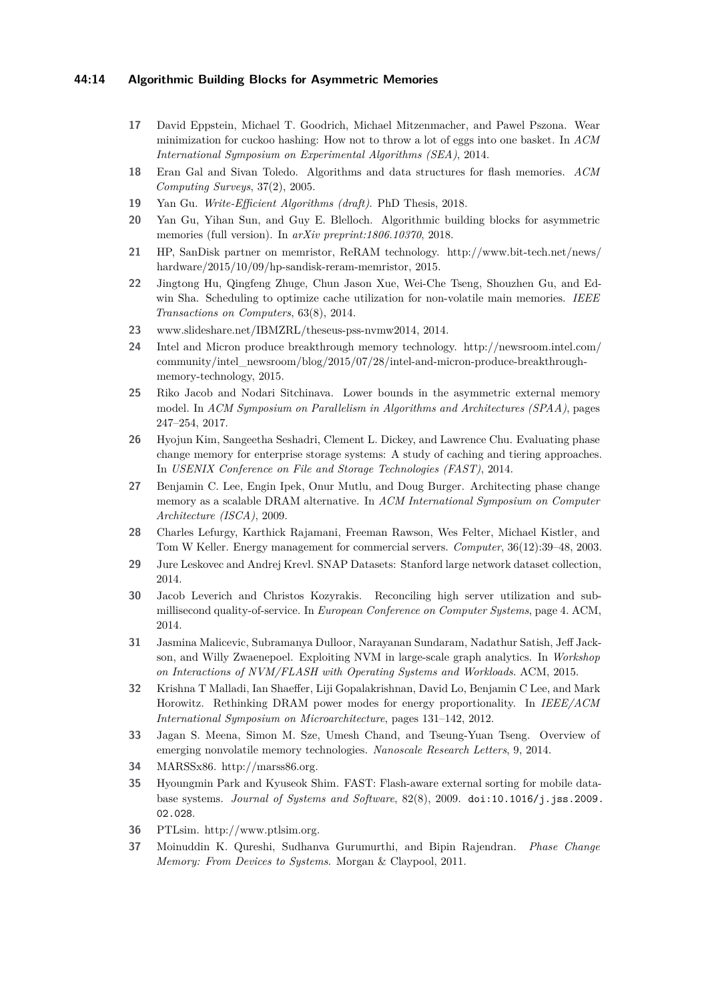## **44:14 Algorithmic Building Blocks for Asymmetric Memories**

- <span id="page-13-4"></span>**17** David Eppstein, Michael T. Goodrich, Michael Mitzenmacher, and Pawel Pszona. Wear minimization for cuckoo hashing: How not to throw a lot of eggs into one basket. In *ACM International Symposium on Experimental Algorithms (SEA)*, 2014.
- <span id="page-13-5"></span>**18** Eran Gal and Sivan Toledo. Algorithms and data structures for flash memories. *ACM Computing Surveys*, 37(2), 2005.
- <span id="page-13-19"></span>**19** Yan Gu. *Write-Efficient Algorithms (draft)*. PhD Thesis, 2018.
- <span id="page-13-0"></span>**20** Yan Gu, Yihan Sun, and Guy E. Blelloch. Algorithmic building blocks for asymmetric memories (full version). In *arXiv preprint:1806.10370*, 2018.
- <span id="page-13-1"></span>**21** HP, SanDisk partner on memristor, ReRAM technology. http://www.bit-tech.net/news/ hardware/2015/10/09/hp-sandisk-reram-memristor, 2015.
- <span id="page-13-13"></span>**22** Jingtong Hu, Qingfeng Zhuge, Chun Jason Xue, Wei-Che Tseng, Shouzhen Gu, and Edwin Sha. Scheduling to optimize cache utilization for non-volatile main memories. *IEEE Transactions on Computers*, 63(8), 2014.
- <span id="page-13-14"></span>**23** www.slideshare.net/IBMZRL/theseus-pss-nvmw2014, 2014.
- <span id="page-13-2"></span>**24** Intel and Micron produce breakthrough memory technology. http://newsroom.intel.com/ community/intel\_newsroom/blog/2015/07/28/intel-and-micron-produce-breakthroughmemory-technology, 2015.
- <span id="page-13-7"></span>**25** Riko Jacob and Nodari Sitchinava. Lower bounds in the asymmetric external memory model. In *ACM Symposium on Parallelism in Algorithms and Architectures (SPAA)*, pages 247–254, 2017.
- <span id="page-13-15"></span>**26** Hyojun Kim, Sangeetha Seshadri, Clement L. Dickey, and Lawrence Chu. Evaluating phase change memory for enterprise storage systems: A study of caching and tiering approaches. In *USENIX Conference on File and Storage Technologies (FAST)*, 2014.
- <span id="page-13-16"></span>**27** Benjamin C. Lee, Engin Ipek, Onur Mutlu, and Doug Burger. Architecting phase change memory as a scalable DRAM alternative. In *ACM International Symposium on Computer Architecture (ISCA)*, 2009.
- <span id="page-13-10"></span>**28** Charles Lefurgy, Karthick Rajamani, Freeman Rawson, Wes Felter, Michael Kistler, and Tom W Keller. Energy management for commercial servers. *Computer*, 36(12):39–48, 2003.
- <span id="page-13-20"></span>**29** Jure Leskovec and Andrej Krevl. SNAP Datasets: Stanford large network dataset collection, 2014.
- <span id="page-13-12"></span>**30** Jacob Leverich and Christos Kozyrakis. Reconciling high server utilization and submillisecond quality-of-service. In *European Conference on Computer Systems*, page 4. ACM, 2014.
- <span id="page-13-17"></span>**31** Jasmina Malicevic, Subramanya Dulloor, Narayanan Sundaram, Nadathur Satish, Jeff Jackson, and Willy Zwaenepoel. Exploiting NVM in large-scale graph analytics. In *Workshop on Interactions of NVM/FLASH with Operating Systems and Workloads*. ACM, 2015.
- <span id="page-13-11"></span>**32** Krishna T Malladi, Ian Shaeffer, Liji Gopalakrishnan, David Lo, Benjamin C Lee, and Mark Horowitz. Rethinking DRAM power modes for energy proportionality. In *IEEE/ACM International Symposium on Microarchitecture*, pages 131–142, 2012.
- <span id="page-13-3"></span>**33** Jagan S. Meena, Simon M. Sze, Umesh Chand, and Tseung-Yuan Tseng. Overview of emerging nonvolatile memory technologies. *Nanoscale Research Letters*, 9, 2014.
- <span id="page-13-9"></span>**34** MARSSx86. http://marss86.org.
- <span id="page-13-6"></span>**35** Hyoungmin Park and Kyuseok Shim. FAST: Flash-aware external sorting for mobile database systems. *Journal of Systems and Software*, 82(8), 2009. [doi:10.1016/j.jss.2009.](http://dx.doi.org/10.1016/j.jss.2009.02.028) [02.028](http://dx.doi.org/10.1016/j.jss.2009.02.028).
- <span id="page-13-8"></span>**36** PTLsim. http://www.ptlsim.org.
- <span id="page-13-18"></span>**37** Moinuddin K. Qureshi, Sudhanva Gurumurthi, and Bipin Rajendran. *Phase Change Memory: From Devices to Systems*. Morgan & Claypool, 2011.